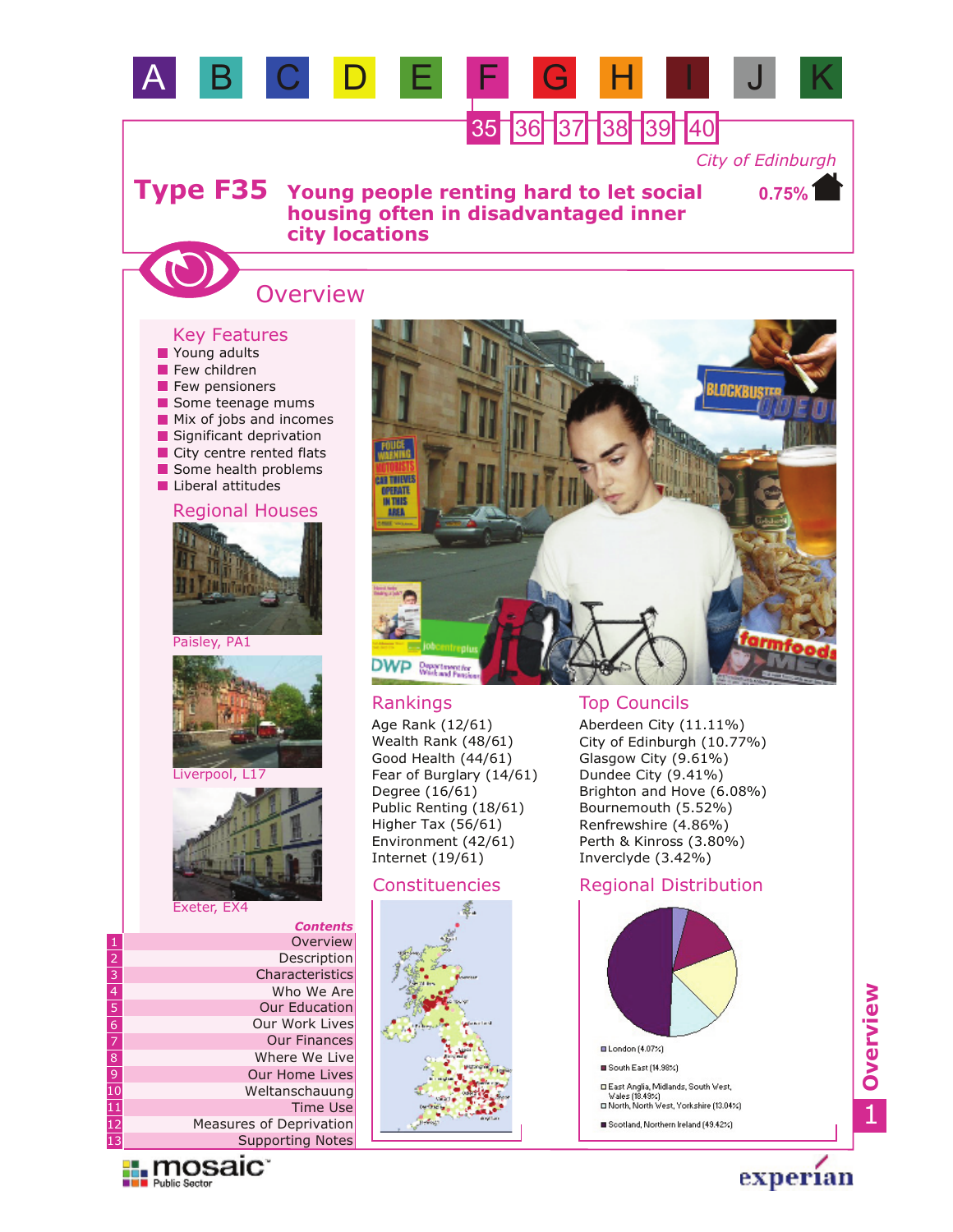

- **Mix of jobs and incomes**
- Significant deprivation
- City centre rented flats
- Some health problems
- **Liberal attitudes**









Liverpool, L17



Exeter, EX4

|                 | <b>Contents</b>         |
|-----------------|-------------------------|
| 1               | Overview                |
|                 | Description             |
| $\frac{2}{3}$   | Characteristics         |
| $\overline{4}$  | Who We Are              |
| $\overline{5}$  | <b>Our Education</b>    |
| đ               | Our Work Lives          |
| $\overline{7}$  | <b>Our Finances</b>     |
| $\overline{8}$  | Where We Live           |
| $\overline{9}$  | <b>Our Home Lives</b>   |
| $\overline{10}$ | Weltanschauung          |
| $\overline{11}$ | <b>Time Use</b>         |
| $\overline{1}2$ | Measures of Deprivation |
| 13              | <b>Supporting Notes</b> |

**Explorance in The Problem Sector** 



Age Rank (12/61) Wealth Rank (48/61) Good Health (44/61) Fear of Burglary (14/61) Degree (16/61) Public Renting (18/61) Higher Tax (56/61) Environment (42/61) Internet (19/61)

### Constituencies



### Rankings Top Councils

Aberdeen City (11.11%) City of Edinburgh (10.77%) Glasgow City (9.61%) Dundee City (9.41%) Brighton and Hove (6.08%) Bournemouth (5.52%) Renfrewshire (4.86%) Perth & Kinross (3.80%) Inverclyde (3.42%)

## Regional Distribution





experian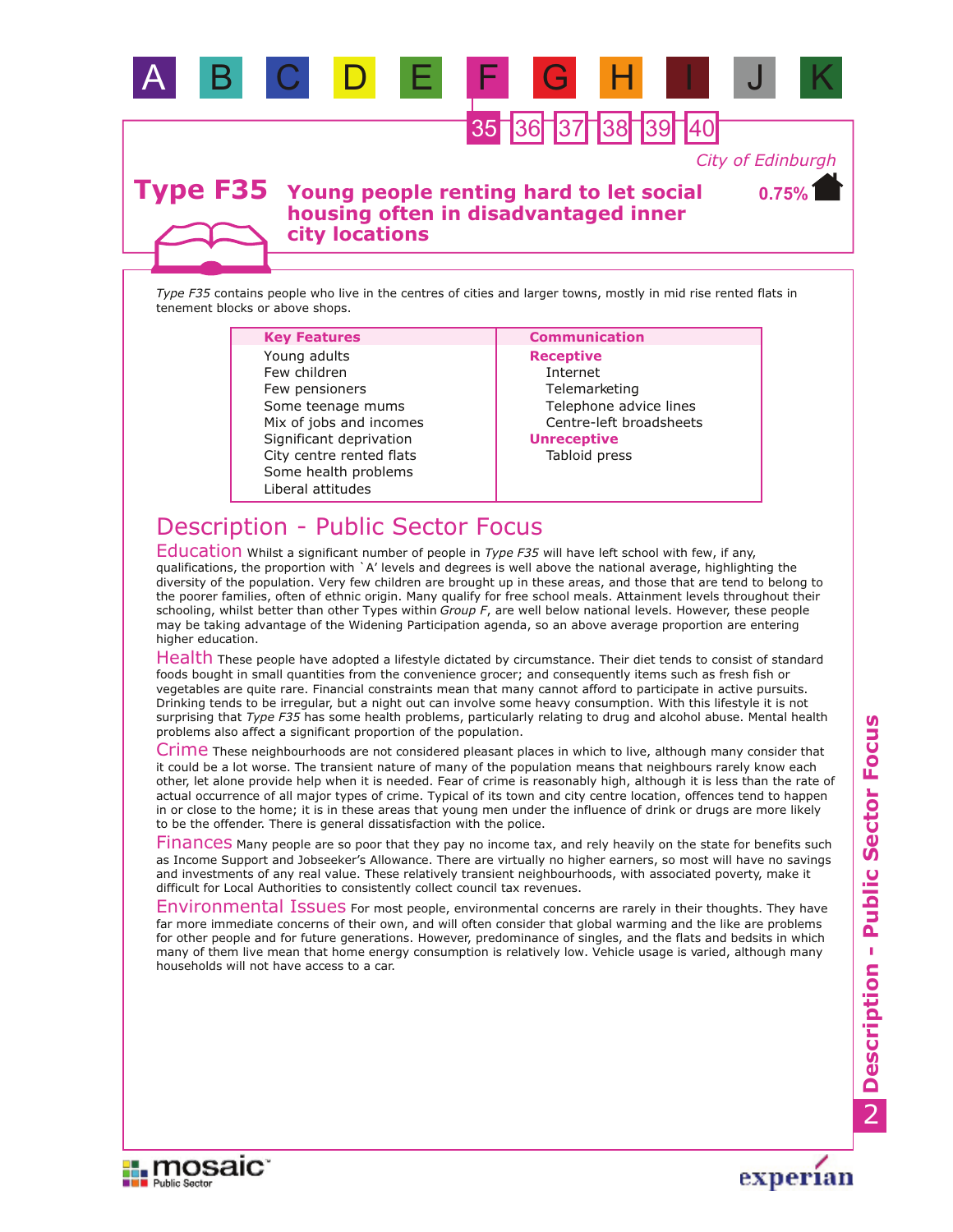

A B C D E F G H I J K

*Type F35* contains people who live in the centres of cities and larger towns, mostly in mid rise rented flats in tenement blocks or above shops.

### Some health problems City centre rented flats Few pensioners Some teenage mums Mix of jobs and incomes Liberal attitudes Significant deprivation Few children Young adults

### **Key Features Communication**

**Receptive** Internet Telemarketing Telephone advice lines Centre-left broadsheets **Unreceptive**

Tabloid press

# Description - Public Sector Focus

Education Whilst a significant number of people in *Type F35* will have left school with few, if any, qualifications, the proportion with `A' levels and degrees is well above the national average, highlighting the diversity of the population. Very few children are brought up in these areas, and those that are tend to belong to the poorer families, often of ethnic origin. Many qualify for free school meals. Attainment levels throughout their schooling, whilst better than other Types within *Group F*, are well below national levels. However, these people may be taking advantage of the Widening Participation agenda, so an above average proportion are entering higher education.

Health These people have adopted a lifestyle dictated by circumstance. Their diet tends to consist of standard foods bought in small quantities from the convenience grocer; and consequently items such as fresh fish or vegetables are quite rare. Financial constraints mean that many cannot afford to participate in active pursuits. Drinking tends to be irregular, but a night out can involve some heavy consumption. With this lifestyle it is not surprising that *Type F35* has some health problems, particularly relating to drug and alcohol abuse. Mental health problems also affect a significant proportion of the population.

Crime These neighbourhoods are not considered pleasant places in which to live, although many consider that it could be a lot worse. The transient nature of many of the population means that neighbours rarely know each other, let alone provide help when it is needed. Fear of crime is reasonably high, although it is less than the rate of actual occurrence of all major types of crime. Typical of its town and city centre location, offences tend to happen in or close to the home; it is in these areas that young men under the influence of drink or drugs are more likely to be the offender. There is general dissatisfaction with the police.

Finances Many people are so poor that they pay no income tax, and rely heavily on the state for benefits such as Income Support and Jobseeker's Allowance. There are virtually no higher earners, so most will have no savings and investments of any real value. These relatively transient neighbourhoods, with associated poverty, make it difficult for Local Authorities to consistently collect council tax revenues.

Environmental Issues For most people, environmental concerns are rarely in their thoughts. They have far more immediate concerns of their own, and will often consider that global warming and the like are problems for other people and for future generations. However, predominance of singles, and the flats and bedsits in which many of them live mean that home energy consumption is relatively low. Vehicle usage is varied, although many households will not have access to a car.

**Description - Public Sector Focus** Description - Public Sector Focus



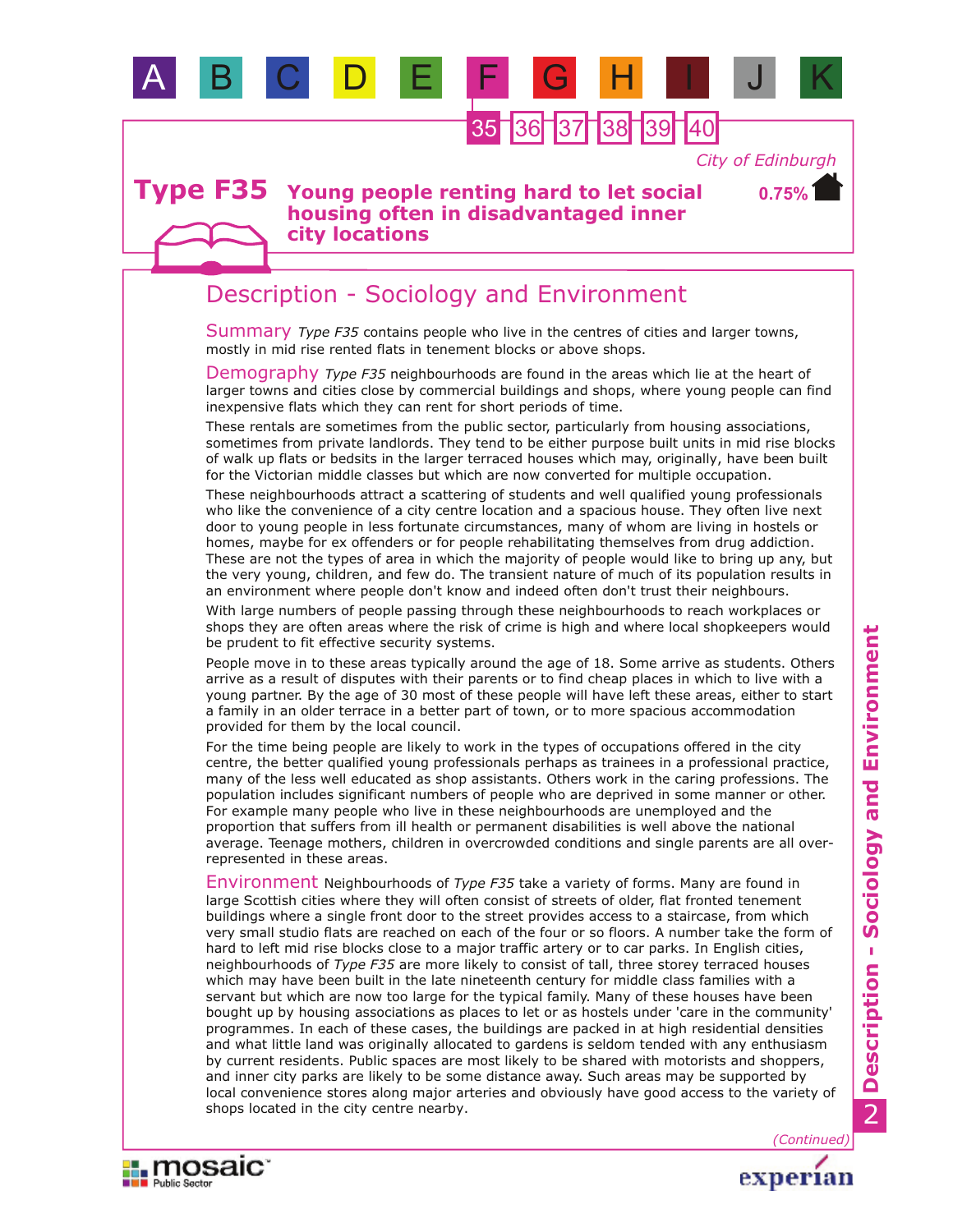

36 37 38 39 40

*City of Edinburgh*

**0.75%**

### **Young people renting hard to let social housing often in disadvantaged inner city locations Type F35**

# Description - Sociology and Environment

Summary Type F35 contains people who live in the centres of cities and larger towns, mostly in mid rise rented flats in tenement blocks or above shops.

Demography *Type F35* neighbourhoods are found in the areas which lie at the heart of larger towns and cities close by commercial buildings and shops, where young people can find inexpensive flats which they can rent for short periods of time.

These rentals are sometimes from the public sector, particularly from housing associations, sometimes from private landlords. They tend to be either purpose built units in mid rise blocks of walk up flats or bedsits in the larger terraced houses which may, originally, have been built for the Victorian middle classes but which are now converted for multiple occupation.

These neighbourhoods attract a scattering of students and well qualified young professionals who like the convenience of a city centre location and a spacious house. They often live next door to young people in less fortunate circumstances, many of whom are living in hostels or homes, maybe for ex offenders or for people rehabilitating themselves from drug addiction. These are not the types of area in which the majority of people would like to bring up any, but the very young, children, and few do. The transient nature of much of its population results in an environment where people don't know and indeed often don't trust their neighbours.

With large numbers of people passing through these neighbourhoods to reach workplaces or shops they are often areas where the risk of crime is high and where local shopkeepers would be prudent to fit effective security systems.

People move in to these areas typically around the age of 18. Some arrive as students. Others arrive as a result of disputes with their parents or to find cheap places in which to live with a young partner. By the age of 30 most of these people will have left these areas, either to start a family in an older terrace in a better part of town, or to more spacious accommodation provided for them by the local council.

For the time being people are likely to work in the types of occupations offered in the city centre, the better qualified young professionals perhaps as trainees in a professional practice, many of the less well educated as shop assistants. Others work in the caring professions. The population includes significant numbers of people who are deprived in some manner or other. For example many people who live in these neighbourhoods are unemployed and the proportion that suffers from ill health or permanent disabilities is well above the national average. Teenage mothers, children in overcrowded conditions and single parents are all overrepresented in these areas.

Environment Neighbourhoods of *Type F35* take a variety of forms. Many are found in large Scottish cities where they will often consist of streets of older, flat fronted tenement buildings where a single front door to the street provides access to a staircase, from which very small studio flats are reached on each of the four or so floors. A number take the form of hard to left mid rise blocks close to a major traffic artery or to car parks. In English cities, neighbourhoods of *Type F35* are more likely to consist of tall, three storey terraced houses which may have been built in the late nineteenth century for middle class families with a servant but which are now too large for the typical family. Many of these houses have been bought up by housing associations as places to let or as hostels under 'care in the community' programmes. In each of these cases, the buildings are packed in at high residential densities and what little land was originally allocated to gardens is seldom tended with any enthusiasm by current residents. Public spaces are most likely to be shared with motorists and shoppers, and inner city parks are likely to be some distance away. Such areas may be supported by local convenience stores along major arteries and obviously have good access to the variety of shops located in the city centre nearby.





*(Continued)*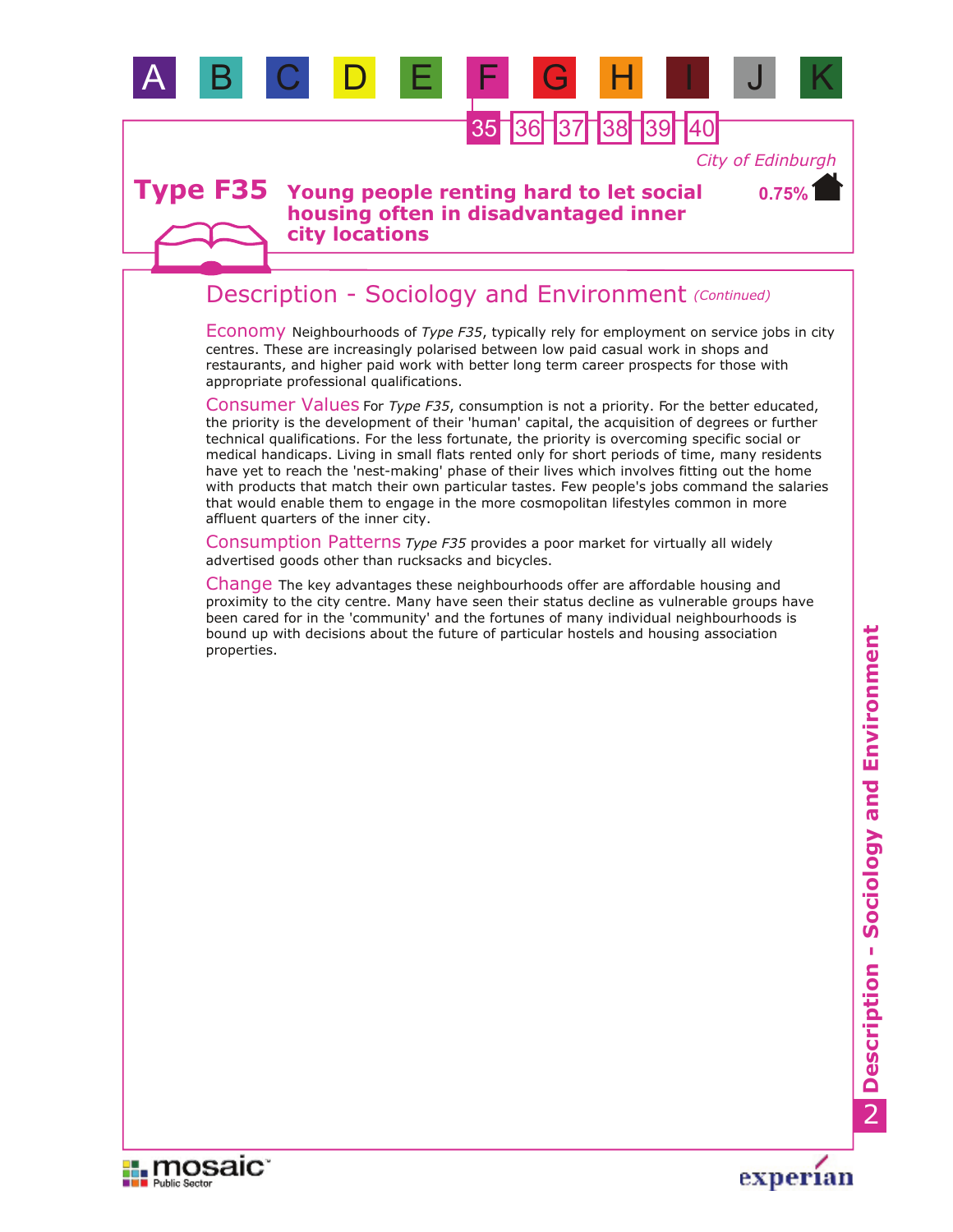

**city locations**

# Description - Sociology and Environment *(Continued)*

Economy Neighbourhoods of *Type F35*, typically rely for employment on service jobs in city centres. These are increasingly polarised between low paid casual work in shops and restaurants, and higher paid work with better long term career prospects for those with appropriate professional qualifications.

Consumer Values For *Type F35*, consumption is not a priority. For the better educated, the priority is the development of their 'human' capital, the acquisition of degrees or further technical qualifications. For the less fortunate, the priority is overcoming specific social or medical handicaps. Living in small flats rented only for short periods of time, many residents have yet to reach the 'nest-making' phase of their lives which involves fitting out the home with products that match their own particular tastes. Few people's jobs command the salaries that would enable them to engage in the more cosmopolitan lifestyles common in more affluent quarters of the inner city.

Consumption Patterns *Type F35* provides a poor market for virtually all widely advertised goods other than rucksacks and bicycles.

Change The key advantages these neighbourhoods offer are affordable housing and proximity to the city centre. Many have seen their status decline as vulnerable groups have been cared for in the 'community' and the fortunes of many individual neighbourhoods is bound up with decisions about the future of particular hostels and housing association properties.



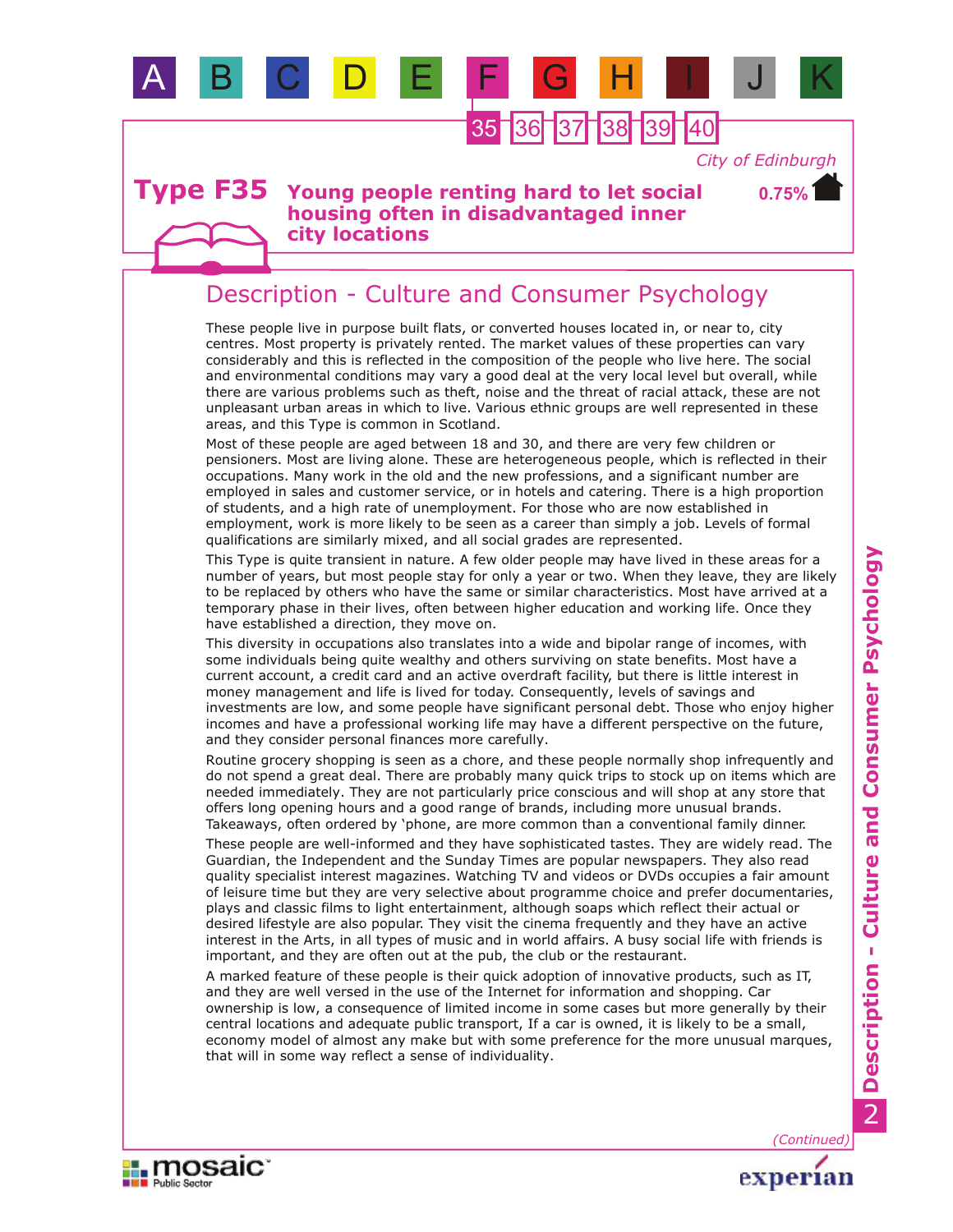

**city locations**

## Description - Culture and Consumer Psychology

These people live in purpose built flats, or converted houses located in, or near to, city centres. Most property is privately rented. The market values of these properties can vary considerably and this is reflected in the composition of the people who live here. The social and environmental conditions may vary a good deal at the very local level but overall, while there are various problems such as theft, noise and the threat of racial attack, these are not unpleasant urban areas in which to live. Various ethnic groups are well represented in these areas, and this Type is common in Scotland.

Most of these people are aged between 18 and 30, and there are very few children or pensioners. Most are living alone. These are heterogeneous people, which is reflected in their occupations. Many work in the old and the new professions, and a significant number are employed in sales and customer service, or in hotels and catering. There is a high proportion of students, and a high rate of unemployment. For those who are now established in employment, work is more likely to be seen as a career than simply a job. Levels of formal qualifications are similarly mixed, and all social grades are represented.

This Type is quite transient in nature. A few older people may have lived in these areas for a number of years, but most people stay for only a year or two. When they leave, they are likely to be replaced by others who have the same or similar characteristics. Most have arrived at a temporary phase in their lives, often between higher education and working life. Once they have established a direction, they move on.

This diversity in occupations also translates into a wide and bipolar range of incomes, with some individuals being quite wealthy and others surviving on state benefits. Most have a current account, a credit card and an active overdraft facility, but there is little interest in money management and life is lived for today. Consequently, levels of savings and investments are low, and some people have significant personal debt. Those who enjoy higher incomes and have a professional working life may have a different perspective on the future, and they consider personal finances more carefully.

Routine grocery shopping is seen as a chore, and these people normally shop infrequently and do not spend a great deal. There are probably many quick trips to stock up on items which are needed immediately. They are not particularly price conscious and will shop at any store that offers long opening hours and a good range of brands, including more unusual brands. Takeaways, often ordered by 'phone, are more common than a conventional family dinner.

These people are well-informed and they have sophisticated tastes. They are widely read. The Guardian, the Independent and the Sunday Times are popular newspapers. They also read quality specialist interest magazines. Watching TV and videos or DVDs occupies a fair amount of leisure time but they are very selective about programme choice and prefer documentaries, plays and classic films to light entertainment, although soaps which reflect their actual or desired lifestyle are also popular. They visit the cinema frequently and they have an active interest in the Arts, in all types of music and in world affairs. A busy social life with friends is important, and they are often out at the pub, the club or the restaurant.

A marked feature of these people is their quick adoption of innovative products, such as IT, and they are well versed in the use of the Internet for information and shopping. Car ownership is low, a consequence of limited income in some cases but more generally by their central locations and adequate public transport, If a car is owned, it is likely to be a small, economy model of almost any make but with some preference for the more unusual marques, that will in some way reflect a sense of individuality.



*(Continued)*experian